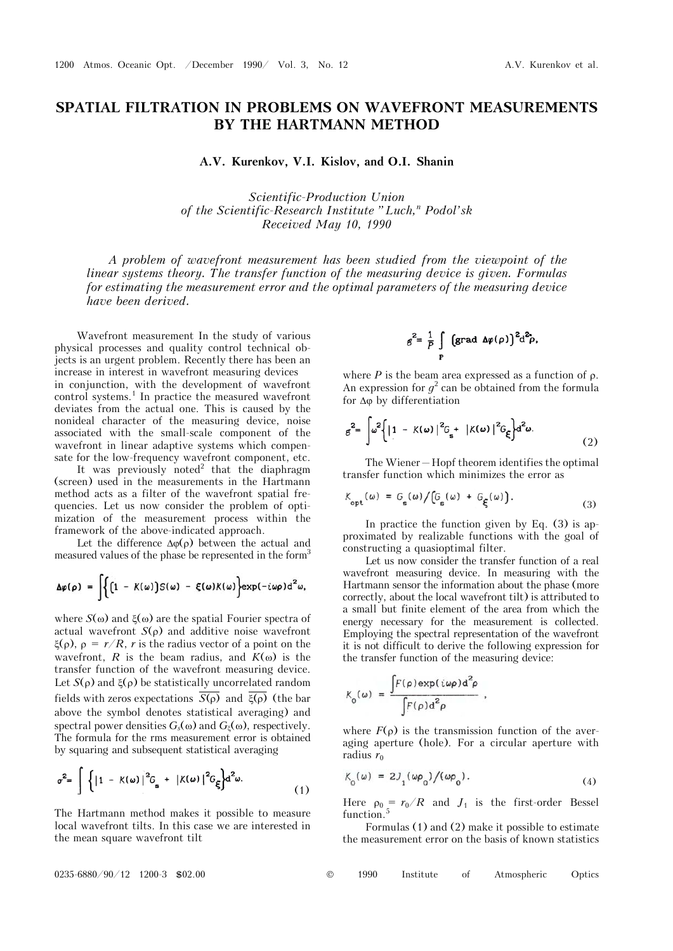## **SPATIAL FILTRATION IN PROBLEMS ON WAVEFRONT MEASUREMENTS BY THE HARTMANN METHOD**

A.V. Kurenkov, V.I. Kislov, and O.I. Shanin

*Scientific-Production Union of the Scientific-Research Institute "Luch,<sup>n</sup> Podol'sk Received May 10, 1990* 

*A problem of wavefront measurement has been studied from the viewpoint of the linear systems theory. The transfer function of the measuring device is given. Formulas for estimating the measurement error and the optimal parameters of the measuring device have been derived.* 

Wavefront measurement In the study of various physical processes and quality control technical objects is an urgent problem. Recently there has been an increase in interest in wavefront measuring devices in conjunction, with the development of wavefront control systems.<sup>1</sup> In practice the measured wavefront deviates from the actual one. This is caused by the nonideal character of the measuring device, noise associated with the small-scale component of the wavefront in linear adaptive systems which compensate for the low-frequency wavefront component, etc.

It was previously noted<sup>2</sup> that the diaphragm (screen) used in the measurements in the Hartmann method acts as a filter of the wavefront spatial frequencies. Let us now consider the problem of optimization of the measurement process within the framework of the above-indicated approach.

Let the difference  $\Delta\varphi(\rho)$  between the actual and measured values of the phase be represented in the form3

$$
\Delta \varphi(\rho) = \int \Biggl\{ \Bigl( 1 - K(\omega) \Bigr) S(\omega) - \xi(\omega) K(\omega) \Biggr\} \exp(-i\omega \rho) d^2 \omega,
$$

where  $S(\omega)$  and  $\xi(\omega)$  are the spatial Fourier spectra of actual wavefront  $S(\rho)$  and additive noise wavefront  $\xi(\rho)$ ,  $\rho = r/R$ , r is the radius vector of a point on the wavefront, *R* is the beam radius, and  $K(\omega)$  is the transfer function of the wavefront measuring device. Let  $S(\rho)$  and  $\xi(\rho)$  be statistically uncorrelated random fields with zeros expectations  $\overline{S(\rho)}$  and  $\overline{\xi(\rho)}$  (the bar above the symbol denotes statistical averaging) and spectral power densities  $G_s(\omega)$  and  $G_\varepsilon(\omega)$ , respectively. The formula for the rms measurement error is obtained by squaring and subsequent statistical averaging

$$
\sigma^2 = \int \left\{ \left| 1 - K(\omega) \right|^2 G_{\rm g} + \left| K(\omega) \right|^2 G_{\xi} \right\} d^2 \omega. \tag{1}
$$

The Hartmann method makes it possible to measure local wavefront tilts. In this case we are interested in the mean square wavefront tilt

$$
g^2 = \frac{1}{P} \int \left( \text{grad } \Delta \varphi(\rho) \right)^2 d^2 \rho,
$$

where  $P$  is the beam area expressed as a function of  $\rho$ . An expression for  $g^2$  can be obtained from the formula for  $\Delta\varphi$  by differentiation

$$
e^{2} = \int \omega^2 \left\{ \left| 1 - K(\omega) \right|^2 G_{\rm s} + \left| K(\omega) \right|^2 G_{\rm s} \right\} d^2 \omega. \tag{2}
$$

The Wiener—Hopf theorem identifies the optimal transfer function which minimizes the error as

$$
K_{\text{opt}}(\omega) = G_{\text{s}}(\omega) / [G_{\text{s}}(\omega) + G_{\xi}(\omega)]. \tag{3}
$$

In practice the function given by Eq. (3) is approximated by realizable functions with the goal of constructing a quasioptimal filter.

Let us now consider the transfer function of a real wavefront measuring device. In measuring with the Hartmann sensor the information about the phase (more correctly, about the local wavefront tilt) is attributed to a small but finite element of the area from which the energy necessary for the measurement is collected. Employing the spectral representation of the wavefront it is not difficult to derive the following expression for the transfer function of the measuring device:

$$
K_0(\omega) = \frac{\int F(\rho) \exp(i\omega \rho) d^2 \rho}{\int F(\rho) d^2 \rho} ,
$$

where  $F(\rho)$  is the transmission function of the averaging aperture (hole). For a circular aperture with radius  $r_0$ 

$$
K_0(\omega) = 2J_1(\omega \rho_0)/(\omega \rho_0). \tag{4}
$$

Here  $\rho_0 = r_0/R$  and  $J_1$  is the first-order Bessel function.<sup>5</sup>

Formulas (1) and (2) make it possible to estimate the measurement error on the basis of known statistics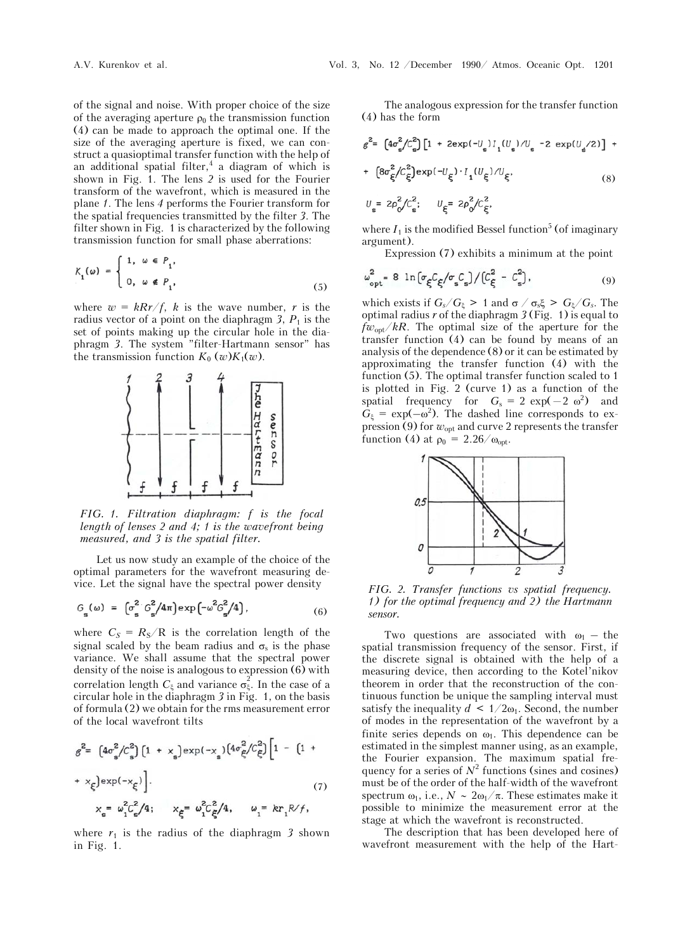of the signal and noise. With proper choice of the size of the averaging aperture  $\rho_0$  the transmission function (4) can be made to approach the optimal one. If the size of the averaging aperture is fixed, we can construct a quasioptimal transfer function with the help of an additional spatial filter,<sup>4</sup> a diagram of which is shown in Fig. 1. The lens *2* is used for the Fourier transform of the wavefront, which is measured in the plane *1*. The lens *4* performs the Fourier transform for the spatial frequencies transmitted by the filter *3*. The filter shown in Fig. 1 is characterized by the following transmission function for small phase aberrations:

$$
K_1(\omega) = \begin{cases} 1, & \omega \in P_1, \\ 0, & \omega \notin P_1, \end{cases}
$$
 (5)

where  $w = kRr/f$ , *k* is the wave number, *r* is the radius vector of a point on the diaphragm 3,  $P_1$  is the set of points making up the circular hole in the diaphragm *3*. The system "filter-Hartmann sensor" has the transmission function  $K_0$  (*w*) $K_1(w)$ .



*FIG. 1. Filtration diaphragm: f is the focal length of lenses 2 and 4; 1 is the wavefront being measured, and 3 is the spatial filter.*

Let us now study an example of the choice of the optimal parameters for the wavefront measuring device. Let the signal have the spectral power density

$$
G_{\rm g}(\omega) = \left[ \sigma_{\rm g}^2 G_{\rm g}^2 / 4\pi \right] \exp \left( -\omega^2 G_{\rm g}^2 / 4 \right), \tag{6}
$$

where  $C_s = R_s/R$  is the correlation length of the signal scaled by the beam radius and  $\sigma_s$  is the phase variance. We shall assume that the spectral power density of the noise is analogous to expression (6) with correlation length  $C_{\xi}$  and variance  $\sigma_{\xi}^2$ . In the case of a circular hole in the diaphragm *3* in Fig. 1, on the basis of formula (2) we obtain for the rms measurement error of the local wavefront tilts

$$
g^{2} = \left[4\sigma_{s}^{2}/C_{s}^{2}\right]\left[1 + x_{s}\right] \exp(-x_{s})\left[4\sigma_{\xi}^{2}/C_{\xi}^{2}\right]\left[1 - \left[1 + x_{\xi}\right] \exp(-x_{\xi})\right].
$$
\n
$$
x_{s} = \omega_{1}^{2}C_{s}^{2}/4; \qquad x_{\xi} = \omega_{1}^{2}C_{\xi}^{2}/4, \qquad \omega_{1} = kr_{1}R/f,
$$
\n(7)

where  $r_1$  is the radius of the diaphragm 3 shown in Fig. 1.

The analogous expression for the transfer function (4) has the form

$$
g^{2} = \left[4\sigma_{\rm g}^{2}/C_{\rm g}^{2}\right] \left[1 + 2 \exp(-U_{\rm g}) I_{1}(U_{\rm g})/U_{\rm g} - 2 \exp(U_{\rm g}/2)\right] + \left[8\sigma_{\xi}^{2}/C_{\xi}^{2}\right] \exp(-U_{\xi}) \cdot I_{1}(U_{\xi})/U_{\xi}, \tag{8}
$$

$$
U_{\rm s} = 2\rho_0^2/C_{\rm s}^2; \qquad U_{\xi} = 2\rho_0^2/C_{\xi}^2
$$

where  $I_1$  is the modified Bessel function<sup>5</sup> (of imaginary argument).

Expression (7) exhibits a minimum at the point

$$
\omega_{\rm opt}^2 = 8 \ln \left[ \sigma_{\xi} C_{\xi} / \sigma_{\rm s} C_{\rm s} \right] / \left[ C_{\xi}^2 - C_{\rm s}^2 \right], \tag{9}
$$

which exists if  $G_s/G_{\xi} > 1$  and  $\sigma / \sigma_s \xi > G_{\xi}/G_s$ . The optimal radius  $r$  of the diaphragm  $3$  (Fig. 1) is equal to  $f_{\text{W}_{\text{opt}}}/kR$ . The optimal size of the aperture for the transfer function (4) can be found by means of an analysis of the dependence (8) or it can be estimated by approximating the transfer function (4) with the function (5). The optimal transfer function scaled to 1 is plotted in Fig. 2 (curve 1) as a function of the spatial frequency for  $G_s = 2 \exp(-2 \omega^2)$  and  $G_{\xi} = \exp(-\omega^2)$ . The dashed line corresponds to expression (9) for  $w_{opt}$  and curve 2 represents the transfer function (4) at  $\rho_0 = 2.26/\omega_{\text{opt}}$ .



*FIG. 2. Transfer functions vs spatial frequency. 1) for the optimal frequency and 2) the Hartmann sensor.* 

Two questions are associated with  $\omega_1$  – the spatial transmission frequency of the sensor. First, if the discrete signal is obtained with the help of a measuring device, then according to the Kotel'nikov theorem in order that the reconstruction of the continuous function be unique the sampling interval must satisfy the inequality  $d \leq 1/2\omega_1$ . Second, the number of modes in the representation of the wavefront by a finite series depends on  $\omega_1$ . This dependence can be estimated in the simplest manner using, as an example, the Fourier expansion. The maximum spatial frequency for a series of  $N^2$  functions (sines and cosines) must be of the order of the half-width of the wavefront spectrum  $\omega_1$ , i.e.,  $N \sim 2\omega_1/\pi$ . These estimates make it possible to minimize the measurement error at the stage at which the wavefront is reconstructed.

The description that has been developed here of wavefront measurement with the help of the Hart